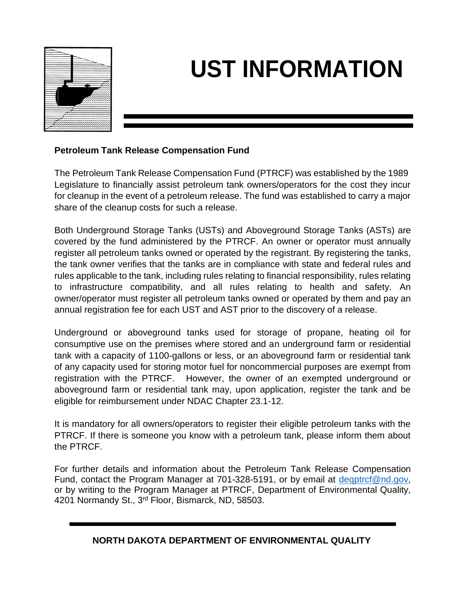

## **UST INFORMATION**

## **Petroleum Tank Release Compensation Fund**

The Petroleum Tank Release Compensation Fund (PTRCF) was established by the 1989 Legislature to financially assist petroleum tank owners/operators for the cost they incur for cleanup in the event of a petroleum release. The fund was established to carry a major share of the cleanup costs for such a release.

Both Underground Storage Tanks (USTs) and Aboveground Storage Tanks (ASTs) are covered by the fund administered by the PTRCF. An owner or operator must annually register all petroleum tanks owned or operated by the registrant. By registering the tanks, the tank owner verifies that the tanks are in compliance with state and federal rules and rules applicable to the tank, including rules relating to financial responsibility, rules relating to infrastructure compatibility, and all rules relating to health and safety. An owner/operator must register all petroleum tanks owned or operated by them and pay an annual registration fee for each UST and AST prior to the discovery of a release.

Underground or aboveground tanks used for storage of propane, heating oil for consumptive use on the premises where stored and an underground farm or residential tank with a capacity of 1100-gallons or less, or an aboveground farm or residential tank of any capacity used for storing motor fuel for noncommercial purposes are exempt from registration with the PTRCF. However, the owner of an exempted underground or aboveground farm or residential tank may, upon application, register the tank and be eligible for reimbursement under NDAC Chapter 23.1-12.

It is mandatory for all owners/operators to register their eligible petroleum tanks with the PTRCF. If there is someone you know with a petroleum tank, please inform them about the PTRCF.

For further details and information about the Petroleum Tank Release Compensation Fund, contact the Program Manager at 701-328-5191, or by email at [deqptrcf@nd.gov,](mailto:deqptrcf@nd.gov) or by writing to the Program Manager at PTRCF, Department of Environmental Quality, 4201 Normandy St., 3<sup>rd</sup> Floor, Bismarck, ND, 58503.

## **NORTH DAKOTA DEPARTMENT OF ENVIRONMENTAL QUALITY**